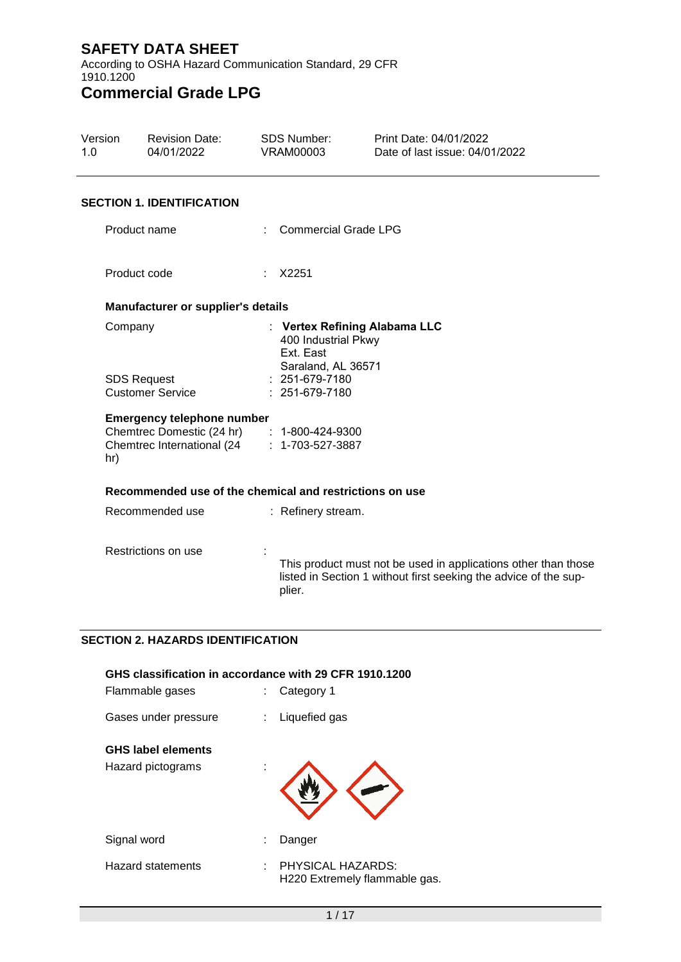According to OSHA Hazard Communication Standard, 29 CFR 1910.1200

# **Commercial Grade LPG**

| Version<br>1.0 | <b>Revision Date:</b><br>04/01/2022                                                                                            | SDS Number:<br><b>VRAM00003</b>                        | Print Date: 04/01/2022<br>Date of last issue: 04/01/2022                                                                           |  |
|----------------|--------------------------------------------------------------------------------------------------------------------------------|--------------------------------------------------------|------------------------------------------------------------------------------------------------------------------------------------|--|
|                | <b>SECTION 1. IDENTIFICATION</b>                                                                                               |                                                        |                                                                                                                                    |  |
|                | Product name                                                                                                                   | <b>Commercial Grade LPG</b>                            |                                                                                                                                    |  |
|                | Product code                                                                                                                   | X2251                                                  |                                                                                                                                    |  |
|                | Manufacturer or supplier's details                                                                                             |                                                        |                                                                                                                                    |  |
|                | Company                                                                                                                        | 400 Industrial Pkwy<br>Ext. East<br>Saraland, AL 36571 | : Vertex Refining Alabama LLC                                                                                                      |  |
|                | <b>SDS Request</b><br><b>Customer Service</b>                                                                                  | : 251-679-7180<br>$: 251-679-7180$                     |                                                                                                                                    |  |
| hr)            | <b>Emergency telephone number</b><br>Chemtrec Domestic (24 hr) : 1-800-424-9300<br>Chemtrec International (24 : 1-703-527-3887 |                                                        |                                                                                                                                    |  |
|                | Recommended use of the chemical and restrictions on use                                                                        |                                                        |                                                                                                                                    |  |
|                | Recommended use                                                                                                                | : Refinery stream.                                     |                                                                                                                                    |  |
|                | Restrictions on use                                                                                                            | plier.                                                 | This product must not be used in applications other than those<br>listed in Section 1 without first seeking the advice of the sup- |  |
|                |                                                                                                                                |                                                        |                                                                                                                                    |  |

### **SECTION 2. HAZARDS IDENTIFICATION**

| GHS classification in accordance with 29 CFR 1910.1200<br>Flammable gases | t. | Category 1                                         |
|---------------------------------------------------------------------------|----|----------------------------------------------------|
| Gases under pressure                                                      |    | Liquefied gas                                      |
| <b>GHS label elements</b><br>Hazard pictograms                            |    |                                                    |
| Signal word                                                               | ÷  | Danger                                             |
| <b>Hazard statements</b>                                                  | ÷  | PHYSICAL HAZARDS:<br>H220 Extremely flammable gas. |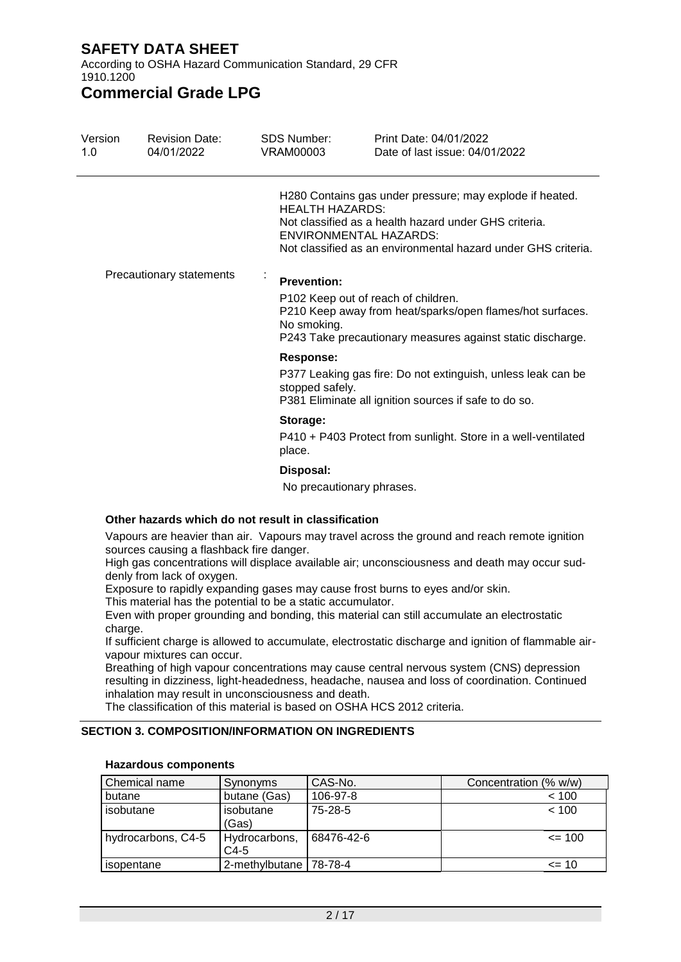According to OSHA Hazard Communication Standard, 29 CFR 1910.1200

### **Commercial Grade LPG**

| Version<br>1.0 | <b>Revision Date:</b><br>04/01/2022 | SDS Number:<br>VRAM00003        | Print Date: 04/01/2022<br>Date of last issue: 04/01/2022                                                                                                                                                            |
|----------------|-------------------------------------|---------------------------------|---------------------------------------------------------------------------------------------------------------------------------------------------------------------------------------------------------------------|
|                |                                     | <b>HEALTH HAZARDS:</b>          | H280 Contains gas under pressure; may explode if heated.<br>Not classified as a health hazard under GHS criteria.<br><b>ENVIRONMENTAL HAZARDS:</b><br>Not classified as an environmental hazard under GHS criteria. |
|                | Precautionary statements            | $\bullet$<br><b>Prevention:</b> |                                                                                                                                                                                                                     |
|                |                                     | No smoking.                     | P102 Keep out of reach of children.<br>P210 Keep away from heat/sparks/open flames/hot surfaces.<br>P243 Take precautionary measures against static discharge.                                                      |
|                |                                     | <b>Response:</b>                |                                                                                                                                                                                                                     |
|                |                                     | stopped safely.                 | P377 Leaking gas fire: Do not extinguish, unless leak can be<br>P381 Eliminate all ignition sources if safe to do so.                                                                                               |
|                |                                     | Storage:                        |                                                                                                                                                                                                                     |
|                |                                     | place.                          | P410 + P403 Protect from sunlight. Store in a well-ventilated                                                                                                                                                       |
|                |                                     | Disposal:                       |                                                                                                                                                                                                                     |
|                |                                     |                                 |                                                                                                                                                                                                                     |

No precautionary phrases.

#### **Other hazards which do not result in classification**

Vapours are heavier than air. Vapours may travel across the ground and reach remote ignition sources causing a flashback fire danger.

High gas concentrations will displace available air; unconsciousness and death may occur suddenly from lack of oxygen.

Exposure to rapidly expanding gases may cause frost burns to eyes and/or skin.

This material has the potential to be a static accumulator.

Even with proper grounding and bonding, this material can still accumulate an electrostatic charge.

If sufficient charge is allowed to accumulate, electrostatic discharge and ignition of flammable airvapour mixtures can occur.

Breathing of high vapour concentrations may cause central nervous system (CNS) depression resulting in dizziness, light-headedness, headache, nausea and loss of coordination. Continued inhalation may result in unconsciousness and death.

The classification of this material is based on OSHA HCS 2012 criteria.

#### **SECTION 3. COMPOSITION/INFORMATION ON INGREDIENTS**

| Chemical name      | Synonyms                 | CAS-No.    | Concentration (% w/w) |
|--------------------|--------------------------|------------|-----------------------|
| butane             | butane (Gas)             | 106-97-8   | < 100                 |
| l isobutane        | isobutane<br>(Gas)       | 75-28-5    | < 100                 |
| hydrocarbons, C4-5 | Hydrocarbons,<br>C4-5    | 68476-42-6 | $\leq$ 100            |
| l isopentane       | 2-methylbutane   78-78-4 |            | $\leq$ 10             |

#### **Hazardous components**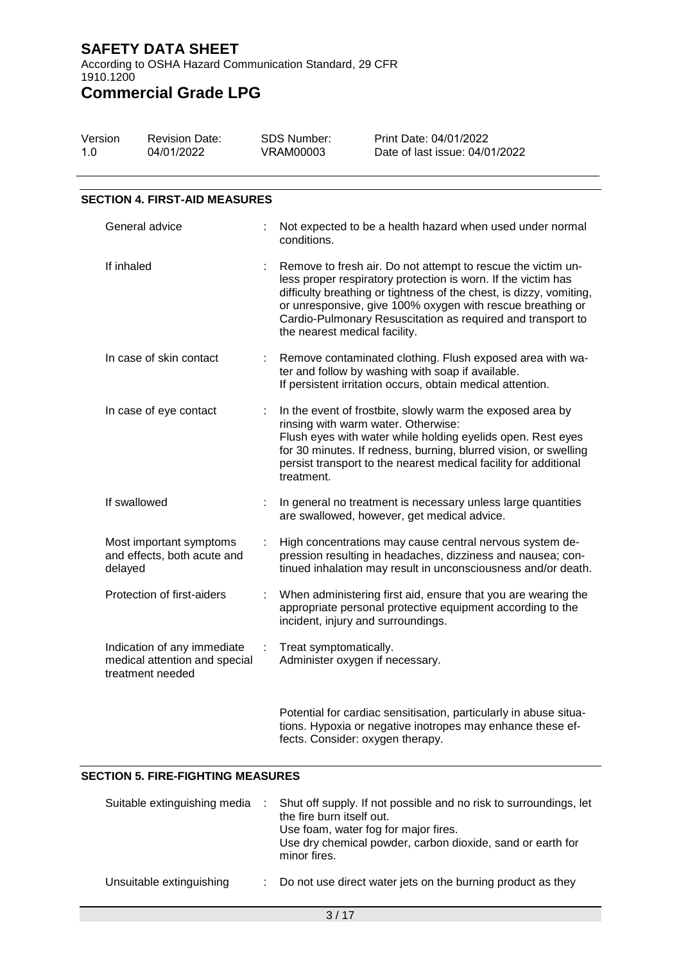According to OSHA Hazard Communication Standard, 29 CFR 1910.1200

# **Commercial Grade LPG**

| Version<br>1.0 |              | <b>Revision Date:</b><br>04/01/2022                                              |                                                                                                                                                                                                                                                                                                                                                                    | SDS Number:<br><b>VRAM00003</b>                           | Print Date: 04/01/2022<br>Date of last issue: 04/01/2022                                                                                                                                                                                                          |
|----------------|--------------|----------------------------------------------------------------------------------|--------------------------------------------------------------------------------------------------------------------------------------------------------------------------------------------------------------------------------------------------------------------------------------------------------------------------------------------------------------------|-----------------------------------------------------------|-------------------------------------------------------------------------------------------------------------------------------------------------------------------------------------------------------------------------------------------------------------------|
|                |              | <b>SECTION 4. FIRST-AID MEASURES</b>                                             |                                                                                                                                                                                                                                                                                                                                                                    |                                                           |                                                                                                                                                                                                                                                                   |
|                |              | General advice                                                                   |                                                                                                                                                                                                                                                                                                                                                                    | conditions.                                               | Not expected to be a health hazard when used under normal                                                                                                                                                                                                         |
| If inhaled     |              |                                                                                  | Remove to fresh air. Do not attempt to rescue the victim un-<br>less proper respiratory protection is worn. If the victim has<br>difficulty breathing or tightness of the chest, is dizzy, vomiting,<br>or unresponsive, give 100% oxygen with rescue breathing or<br>Cardio-Pulmonary Resuscitation as required and transport to<br>the nearest medical facility. |                                                           |                                                                                                                                                                                                                                                                   |
|                |              | In case of skin contact                                                          | ÷                                                                                                                                                                                                                                                                                                                                                                  |                                                           | Remove contaminated clothing. Flush exposed area with wa-<br>ter and follow by washing with soap if available.<br>If persistent irritation occurs, obtain medical attention.                                                                                      |
|                |              | In case of eye contact                                                           | ÷                                                                                                                                                                                                                                                                                                                                                                  | rinsing with warm water. Otherwise:<br>treatment.         | In the event of frostbite, slowly warm the exposed area by<br>Flush eyes with water while holding eyelids open. Rest eyes<br>for 30 minutes. If redness, burning, blurred vision, or swelling<br>persist transport to the nearest medical facility for additional |
|                | If swallowed |                                                                                  |                                                                                                                                                                                                                                                                                                                                                                    |                                                           | In general no treatment is necessary unless large quantities<br>are swallowed, however, get medical advice.                                                                                                                                                       |
|                | delayed      | Most important symptoms<br>and effects, both acute and                           | ÷                                                                                                                                                                                                                                                                                                                                                                  |                                                           | High concentrations may cause central nervous system de-<br>pression resulting in headaches, dizziness and nausea; con-<br>tinued inhalation may result in unconsciousness and/or death.                                                                          |
|                |              | Protection of first-aiders                                                       | t                                                                                                                                                                                                                                                                                                                                                                  | incident, injury and surroundings.                        | When administering first aid, ensure that you are wearing the<br>appropriate personal protective equipment according to the                                                                                                                                       |
|                |              | Indication of any immediate<br>medical attention and special<br>treatment needed | ÷                                                                                                                                                                                                                                                                                                                                                                  | Treat symptomatically.<br>Administer oxygen if necessary. |                                                                                                                                                                                                                                                                   |

Potential for cardiac sensitisation, particularly in abuse situations. Hypoxia or negative inotropes may enhance these effects. Consider: oxygen therapy.

#### **SECTION 5. FIRE-FIGHTING MEASURES**

| Suitable extinguishing media | Shut off supply. If not possible and no risk to surroundings, let<br>the fire burn itself out.<br>Use foam, water fog for major fires.<br>Use dry chemical powder, carbon dioxide, sand or earth for<br>minor fires. |
|------------------------------|----------------------------------------------------------------------------------------------------------------------------------------------------------------------------------------------------------------------|
| Unsuitable extinguishing     | : Do not use direct water jets on the burning product as they                                                                                                                                                        |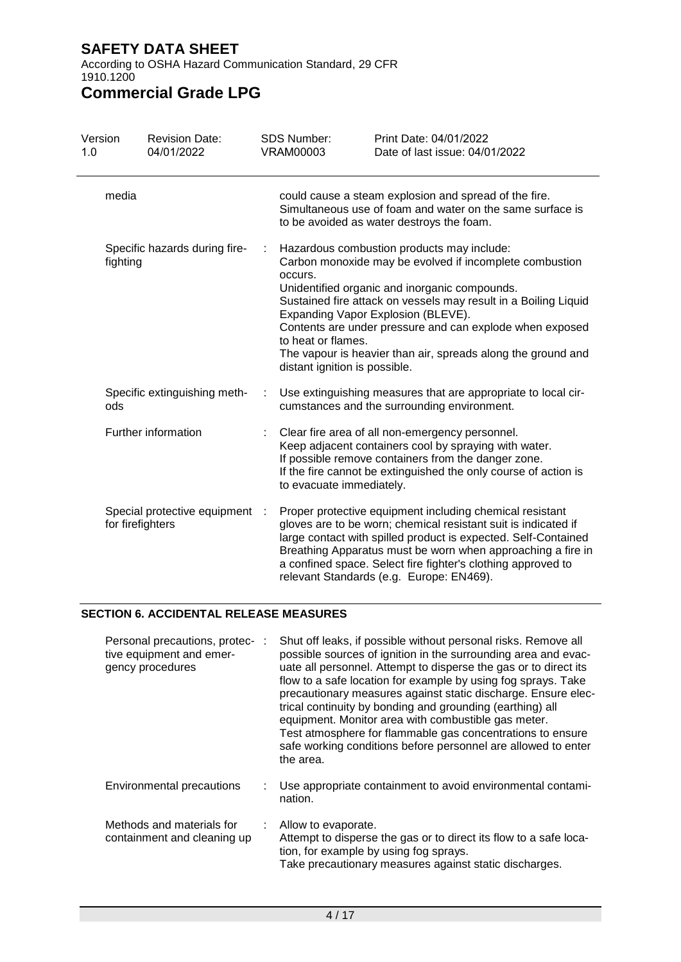According to OSHA Hazard Communication Standard, 29 CFR 1910.1200

# **Commercial Grade LPG**

| Version<br>1.0                            | <b>Revision Date:</b><br>04/01/2022              |   | <b>SDS Number:</b><br><b>VRAM00003</b>                                                                                                                                                                                                                                                                                                                                                                                                                        | Print Date: 04/01/2022<br>Date of last issue: 04/01/2022                                                                                                                                                                                                                                                                                                                |
|-------------------------------------------|--------------------------------------------------|---|---------------------------------------------------------------------------------------------------------------------------------------------------------------------------------------------------------------------------------------------------------------------------------------------------------------------------------------------------------------------------------------------------------------------------------------------------------------|-------------------------------------------------------------------------------------------------------------------------------------------------------------------------------------------------------------------------------------------------------------------------------------------------------------------------------------------------------------------------|
| media                                     |                                                  |   |                                                                                                                                                                                                                                                                                                                                                                                                                                                               | could cause a steam explosion and spread of the fire.<br>Simultaneous use of foam and water on the same surface is<br>to be avoided as water destroys the foam.                                                                                                                                                                                                         |
| Specific hazards during fire-<br>fighting |                                                  | ÷ | Hazardous combustion products may include:<br>Carbon monoxide may be evolved if incomplete combustion<br>occurs.<br>Unidentified organic and inorganic compounds.<br>Sustained fire attack on vessels may result in a Boiling Liquid<br>Expanding Vapor Explosion (BLEVE).<br>Contents are under pressure and can explode when exposed<br>to heat or flames.<br>The vapour is heavier than air, spreads along the ground and<br>distant ignition is possible. |                                                                                                                                                                                                                                                                                                                                                                         |
| ods                                       | Specific extinguishing meth-                     |   |                                                                                                                                                                                                                                                                                                                                                                                                                                                               | Use extinguishing measures that are appropriate to local cir-<br>cumstances and the surrounding environment.                                                                                                                                                                                                                                                            |
|                                           | Further information                              |   | to evacuate immediately.                                                                                                                                                                                                                                                                                                                                                                                                                                      | Clear fire area of all non-emergency personnel.<br>Keep adjacent containers cool by spraying with water.<br>If possible remove containers from the danger zone.<br>If the fire cannot be extinguished the only course of action is                                                                                                                                      |
|                                           | Special protective equipment<br>for firefighters | ÷ |                                                                                                                                                                                                                                                                                                                                                                                                                                                               | Proper protective equipment including chemical resistant<br>gloves are to be worn; chemical resistant suit is indicated if<br>large contact with spilled product is expected. Self-Contained<br>Breathing Apparatus must be worn when approaching a fire in<br>a confined space. Select fire fighter's clothing approved to<br>relevant Standards (e.g. Europe: EN469). |

#### **SECTION 6. ACCIDENTAL RELEASE MEASURES**

| Personal precautions, protec- :<br>tive equipment and emer-<br>gency procedures | Shut off leaks, if possible without personal risks. Remove all<br>possible sources of ignition in the surrounding area and evac-<br>uate all personnel. Attempt to disperse the gas or to direct its<br>flow to a safe location for example by using fog sprays. Take<br>precautionary measures against static discharge. Ensure elec-<br>trical continuity by bonding and grounding (earthing) all<br>equipment. Monitor area with combustible gas meter.<br>Test atmosphere for flammable gas concentrations to ensure<br>safe working conditions before personnel are allowed to enter<br>the area. |
|---------------------------------------------------------------------------------|--------------------------------------------------------------------------------------------------------------------------------------------------------------------------------------------------------------------------------------------------------------------------------------------------------------------------------------------------------------------------------------------------------------------------------------------------------------------------------------------------------------------------------------------------------------------------------------------------------|
| <b>Environmental precautions</b>                                                | Use appropriate containment to avoid environmental contami-<br>nation.                                                                                                                                                                                                                                                                                                                                                                                                                                                                                                                                 |
| Methods and materials for<br>containment and cleaning up                        | Allow to evaporate.<br>Attempt to disperse the gas or to direct its flow to a safe loca-<br>tion, for example by using fog sprays.<br>Take precautionary measures against static discharges.                                                                                                                                                                                                                                                                                                                                                                                                           |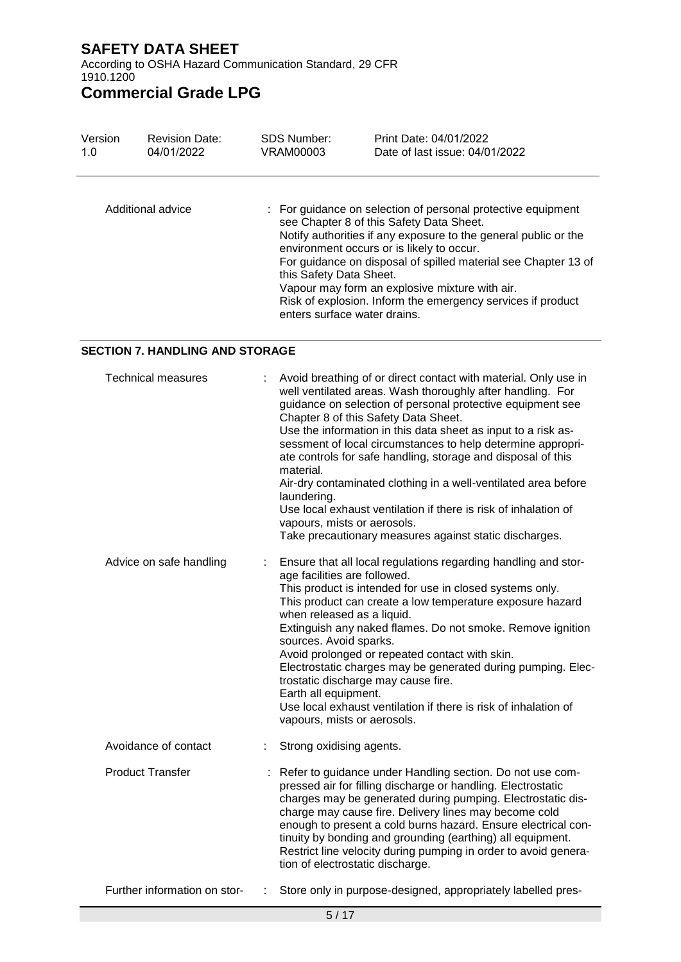According to OSHA Hazard Communication Standard, 29 CFR 1910.1200

# **Commercial Grade LPG**

| Version | <b>Revision Date:</b> | <b>SDS Number:</b>                                      | Print Date: 04/01/2022                                                                                                                                                                                                                                                                                                                                                                                      |
|---------|-----------------------|---------------------------------------------------------|-------------------------------------------------------------------------------------------------------------------------------------------------------------------------------------------------------------------------------------------------------------------------------------------------------------------------------------------------------------------------------------------------------------|
| 1.0     | 04/01/2022            | VRAM00003                                               | Date of last issue: 04/01/2022                                                                                                                                                                                                                                                                                                                                                                              |
|         | Additional advice     | this Safety Data Sheet.<br>enters surface water drains. | : For guidance on selection of personal protective equipment<br>see Chapter 8 of this Safety Data Sheet.<br>Notify authorities if any exposure to the general public or the<br>environment occurs or is likely to occur.<br>For guidance on disposal of spilled material see Chapter 13 of<br>Vapour may form an explosive mixture with air.<br>Risk of explosion. Inform the emergency services if product |

#### **SECTION 7. HANDLING AND STORAGE**

| <b>Technical measures</b>    |    | Avoid breathing of or direct contact with material. Only use in<br>well ventilated areas. Wash thoroughly after handling. For<br>guidance on selection of personal protective equipment see<br>Chapter 8 of this Safety Data Sheet.<br>Use the information in this data sheet as input to a risk as-<br>sessment of local circumstances to help determine appropri-<br>ate controls for safe handling, storage and disposal of this<br>material.<br>Air-dry contaminated clothing in a well-ventilated area before<br>laundering.<br>Use local exhaust ventilation if there is risk of inhalation of<br>vapours, mists or aerosols.<br>Take precautionary measures against static discharges. |
|------------------------------|----|-----------------------------------------------------------------------------------------------------------------------------------------------------------------------------------------------------------------------------------------------------------------------------------------------------------------------------------------------------------------------------------------------------------------------------------------------------------------------------------------------------------------------------------------------------------------------------------------------------------------------------------------------------------------------------------------------|
| Advice on safe handling      | ÷. | Ensure that all local regulations regarding handling and stor-<br>age facilities are followed.<br>This product is intended for use in closed systems only.<br>This product can create a low temperature exposure hazard<br>when released as a liquid.<br>Extinguish any naked flames. Do not smoke. Remove ignition<br>sources. Avoid sparks.<br>Avoid prolonged or repeated contact with skin.<br>Electrostatic charges may be generated during pumping. Elec-<br>trostatic discharge may cause fire.<br>Earth all equipment.<br>Use local exhaust ventilation if there is risk of inhalation of<br>vapours, mists or aerosols.                                                              |
| Avoidance of contact         | ÷. | Strong oxidising agents.                                                                                                                                                                                                                                                                                                                                                                                                                                                                                                                                                                                                                                                                      |
| <b>Product Transfer</b>      |    | Refer to guidance under Handling section. Do not use com-<br>pressed air for filling discharge or handling. Electrostatic<br>charges may be generated during pumping. Electrostatic dis-<br>charge may cause fire. Delivery lines may become cold<br>enough to present a cold burns hazard. Ensure electrical con-<br>tinuity by bonding and grounding (earthing) all equipment.<br>Restrict line velocity during pumping in order to avoid genera-<br>tion of electrostatic discharge.                                                                                                                                                                                                       |
| Further information on stor- |    | Store only in purpose-designed, appropriately labelled pres-                                                                                                                                                                                                                                                                                                                                                                                                                                                                                                                                                                                                                                  |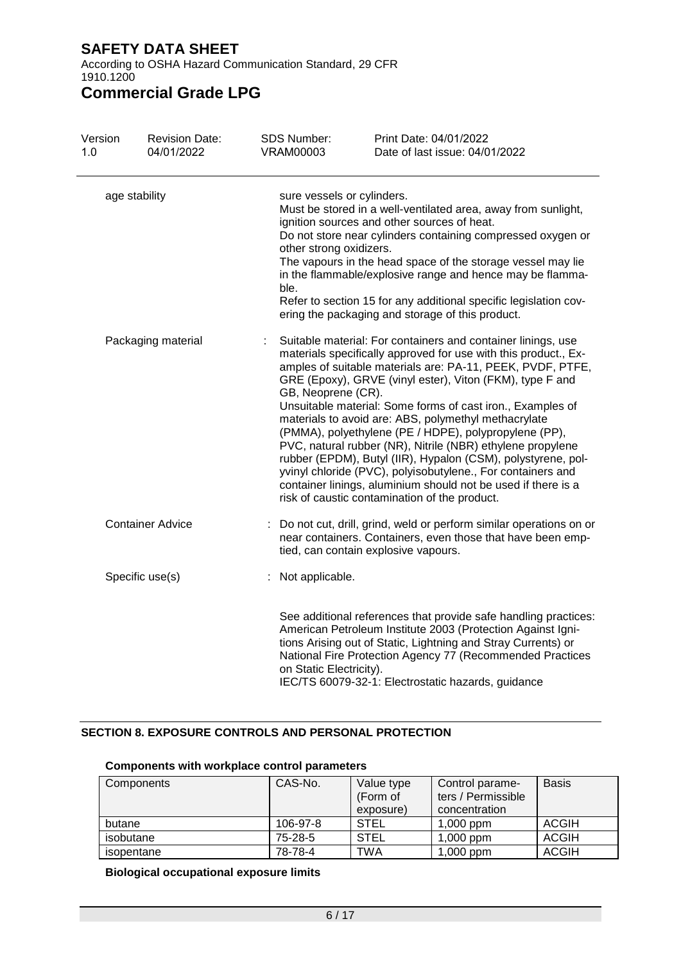According to OSHA Hazard Communication Standard, 29 CFR 1910.1200

## **Commercial Grade LPG**

| Version<br>1.0                      | <b>Revision Date:</b><br>04/01/2022 | <b>SDS Number:</b><br><b>VRAM00003</b>                        | Print Date: 04/01/2022<br>Date of last issue: 04/01/2022                                                                                                                                                                                                                                                                                                                                                                                                                                                                                                                                                                                                                                                                                                |
|-------------------------------------|-------------------------------------|---------------------------------------------------------------|---------------------------------------------------------------------------------------------------------------------------------------------------------------------------------------------------------------------------------------------------------------------------------------------------------------------------------------------------------------------------------------------------------------------------------------------------------------------------------------------------------------------------------------------------------------------------------------------------------------------------------------------------------------------------------------------------------------------------------------------------------|
| age stability<br>Packaging material |                                     | sure vessels or cylinders.<br>other strong oxidizers.<br>ble. | Must be stored in a well-ventilated area, away from sunlight,<br>ignition sources and other sources of heat.<br>Do not store near cylinders containing compressed oxygen or<br>The vapours in the head space of the storage vessel may lie<br>in the flammable/explosive range and hence may be flamma-<br>Refer to section 15 for any additional specific legislation cov-<br>ering the packaging and storage of this product.                                                                                                                                                                                                                                                                                                                         |
|                                     |                                     | GB, Neoprene (CR).                                            | Suitable material: For containers and container linings, use<br>materials specifically approved for use with this product., Ex-<br>amples of suitable materials are: PA-11, PEEK, PVDF, PTFE,<br>GRE (Epoxy), GRVE (vinyl ester), Viton (FKM), type F and<br>Unsuitable material: Some forms of cast iron., Examples of<br>materials to avoid are: ABS, polymethyl methacrylate<br>(PMMA), polyethylene (PE / HDPE), polypropylene (PP),<br>PVC, natural rubber (NR), Nitrile (NBR) ethylene propylene<br>rubber (EPDM), Butyl (IIR), Hypalon (CSM), polystyrene, pol-<br>yvinyl chloride (PVC), polyisobutylene., For containers and<br>container linings, aluminium should not be used if there is a<br>risk of caustic contamination of the product. |
|                                     | <b>Container Advice</b>             |                                                               | Do not cut, drill, grind, weld or perform similar operations on or<br>near containers. Containers, even those that have been emp-<br>tied, can contain explosive vapours.                                                                                                                                                                                                                                                                                                                                                                                                                                                                                                                                                                               |
|                                     | Specific use(s)                     | : Not applicable.                                             |                                                                                                                                                                                                                                                                                                                                                                                                                                                                                                                                                                                                                                                                                                                                                         |
|                                     |                                     | on Static Electricity).                                       | See additional references that provide safe handling practices:<br>American Petroleum Institute 2003 (Protection Against Igni-<br>tions Arising out of Static, Lightning and Stray Currents) or<br>National Fire Protection Agency 77 (Recommended Practices<br>IEC/TS 60079-32-1: Electrostatic hazards, guidance                                                                                                                                                                                                                                                                                                                                                                                                                                      |

#### **SECTION 8. EXPOSURE CONTROLS AND PERSONAL PROTECTION**

| Components | CAS-No.  | Value type  | Control parame-    | <b>Basis</b> |
|------------|----------|-------------|--------------------|--------------|
|            |          | (Form of    | ters / Permissible |              |
|            |          | exposure)   | concentration      |              |
| butane     | 106-97-8 | <b>STEL</b> | $1,000$ ppm        | ACGIH        |
| isobutane  | 75-28-5  | <b>STEL</b> | $1,000$ ppm        | <b>ACGIH</b> |
| isopentane | 78-78-4  | <b>TWA</b>  | $1,000$ ppm        | <b>ACGIH</b> |

#### **Components with workplace control parameters**

#### **Biological occupational exposure limits**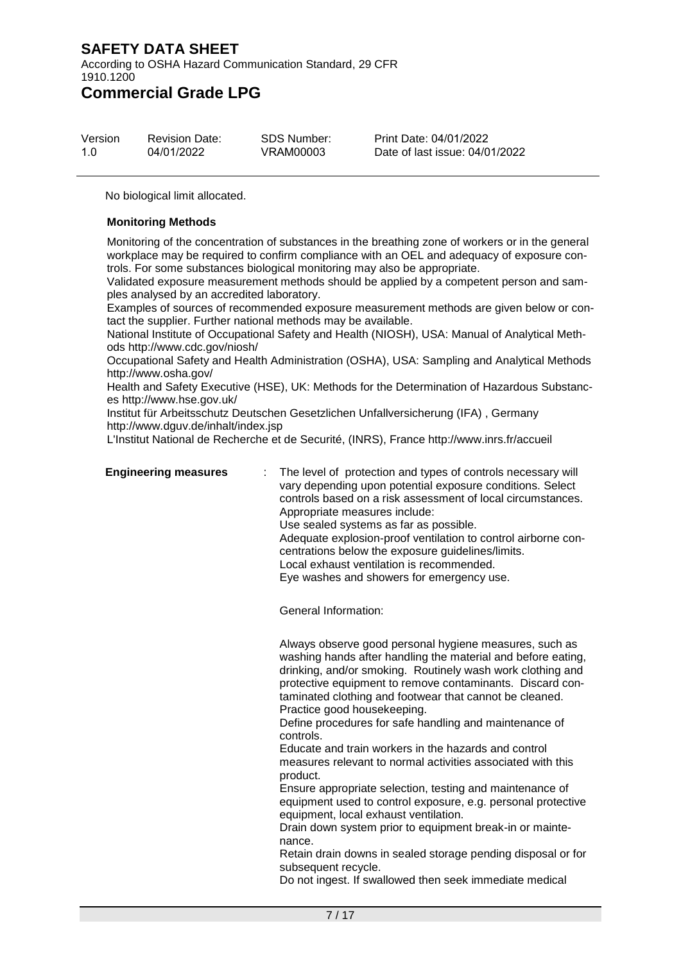According to OSHA Hazard Communication Standard, 29 CFR 1910.1200

**Commercial Grade LPG**

| Version | <b>Revision Date:</b> | <b>SDS Number:</b> | Print Date: 04/  |
|---------|-----------------------|--------------------|------------------|
| 1.0     | 04/01/2022            | VRAM00003          | Date of last iss |

/01/2022 sue: 04/01/2022

No biological limit allocated.

#### **Monitoring Methods**

Monitoring of the concentration of substances in the breathing zone of workers or in the general workplace may be required to confirm compliance with an OEL and adequacy of exposure controls. For some substances biological monitoring may also be appropriate.

Validated exposure measurement methods should be applied by a competent person and samples analysed by an accredited laboratory.

Examples of sources of recommended exposure measurement methods are given below or contact the supplier. Further national methods may be available.

National Institute of Occupational Safety and Health (NIOSH), USA: Manual of Analytical Methods http://www.cdc.gov/niosh/

Occupational Safety and Health Administration (OSHA), USA: Sampling and Analytical Methods http://www.osha.gov/

Health and Safety Executive (HSE), UK: Methods for the Determination of Hazardous Substances http://www.hse.gov.uk/

Institut für Arbeitsschutz Deutschen Gesetzlichen Unfallversicherung (IFA) , Germany http://www.dguv.de/inhalt/index.jsp

L'Institut National de Recherche et de Securité, (INRS), France http://www.inrs.fr/accueil

**Engineering measures** : The level of protection and types of controls necessary will vary depending upon potential exposure conditions. Select controls based on a risk assessment of local circumstances. Appropriate measures include: Use sealed systems as far as possible. Adequate explosion-proof ventilation to control airborne concentrations below the exposure guidelines/limits. Local exhaust ventilation is recommended. Eye washes and showers for emergency use.

General Information:

Always observe good personal hygiene measures, such as washing hands after handling the material and before eating, drinking, and/or smoking. Routinely wash work clothing and protective equipment to remove contaminants. Discard contaminated clothing and footwear that cannot be cleaned. Practice good housekeeping.

Define procedures for safe handling and maintenance of controls.

Educate and train workers in the hazards and control measures relevant to normal activities associated with this product.

Ensure appropriate selection, testing and maintenance of equipment used to control exposure, e.g. personal protective equipment, local exhaust ventilation.

Drain down system prior to equipment break-in or maintenance.

Retain drain downs in sealed storage pending disposal or for subsequent recycle.

Do not ingest. If swallowed then seek immediate medical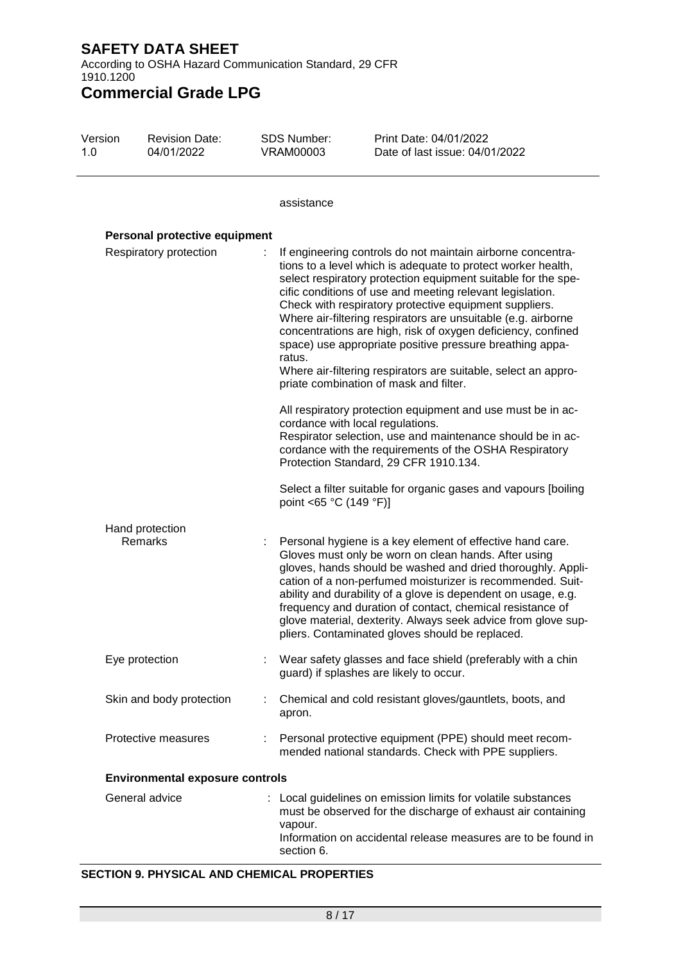According to OSHA Hazard Communication Standard, 29 CFR 1910.1200

**Commercial Grade LPG**

| Version<br>1.0 | <b>Revision Date:</b><br>04/01/2022    | <b>SDS Number:</b><br><b>VRAM00003</b> | Print Date: 04/01/2022<br>Date of last issue: 04/01/2022                                                                                                                                                                                                                                                                                                                                                                                                                                                                                                                                                                     |
|----------------|----------------------------------------|----------------------------------------|------------------------------------------------------------------------------------------------------------------------------------------------------------------------------------------------------------------------------------------------------------------------------------------------------------------------------------------------------------------------------------------------------------------------------------------------------------------------------------------------------------------------------------------------------------------------------------------------------------------------------|
|                |                                        | assistance                             |                                                                                                                                                                                                                                                                                                                                                                                                                                                                                                                                                                                                                              |
|                | Personal protective equipment          |                                        |                                                                                                                                                                                                                                                                                                                                                                                                                                                                                                                                                                                                                              |
|                | Respiratory protection                 | ÷<br>ratus.                            | If engineering controls do not maintain airborne concentra-<br>tions to a level which is adequate to protect worker health,<br>select respiratory protection equipment suitable for the spe-<br>cific conditions of use and meeting relevant legislation.<br>Check with respiratory protective equipment suppliers.<br>Where air-filtering respirators are unsuitable (e.g. airborne<br>concentrations are high, risk of oxygen deficiency, confined<br>space) use appropriate positive pressure breathing appa-<br>Where air-filtering respirators are suitable, select an appro-<br>priate combination of mask and filter. |
|                |                                        |                                        | All respiratory protection equipment and use must be in ac-<br>cordance with local regulations.<br>Respirator selection, use and maintenance should be in ac-<br>cordance with the requirements of the OSHA Respiratory<br>Protection Standard, 29 CFR 1910.134.                                                                                                                                                                                                                                                                                                                                                             |
|                |                                        | point <65 °C (149 °F)]                 | Select a filter suitable for organic gases and vapours [boiling                                                                                                                                                                                                                                                                                                                                                                                                                                                                                                                                                              |
|                | Hand protection<br>Remarks             |                                        | Personal hygiene is a key element of effective hand care.<br>Gloves must only be worn on clean hands. After using<br>gloves, hands should be washed and dried thoroughly. Appli-<br>cation of a non-perfumed moisturizer is recommended. Suit-<br>ability and durability of a glove is dependent on usage, e.g.<br>frequency and duration of contact, chemical resistance of<br>glove material, dexterity. Always seek advice from glove sup-<br>pliers. Contaminated gloves should be replaced.                                                                                                                             |
|                | Eye protection                         |                                        | Wear safety glasses and face shield (preferably with a chin<br>guard) if splashes are likely to occur.                                                                                                                                                                                                                                                                                                                                                                                                                                                                                                                       |
|                | Skin and body protection               | apron.                                 | Chemical and cold resistant gloves/gauntlets, boots, and                                                                                                                                                                                                                                                                                                                                                                                                                                                                                                                                                                     |
|                | Protective measures                    |                                        | Personal protective equipment (PPE) should meet recom-<br>mended national standards. Check with PPE suppliers.                                                                                                                                                                                                                                                                                                                                                                                                                                                                                                               |
|                | <b>Environmental exposure controls</b> |                                        |                                                                                                                                                                                                                                                                                                                                                                                                                                                                                                                                                                                                                              |
|                | General advice                         | vapour.                                | : Local guidelines on emission limits for volatile substances<br>must be observed for the discharge of exhaust air containing<br>Information on accidental release measures are to be found in                                                                                                                                                                                                                                                                                                                                                                                                                               |

#### **SECTION 9. PHYSICAL AND CHEMICAL PROPERTIES**

section 6.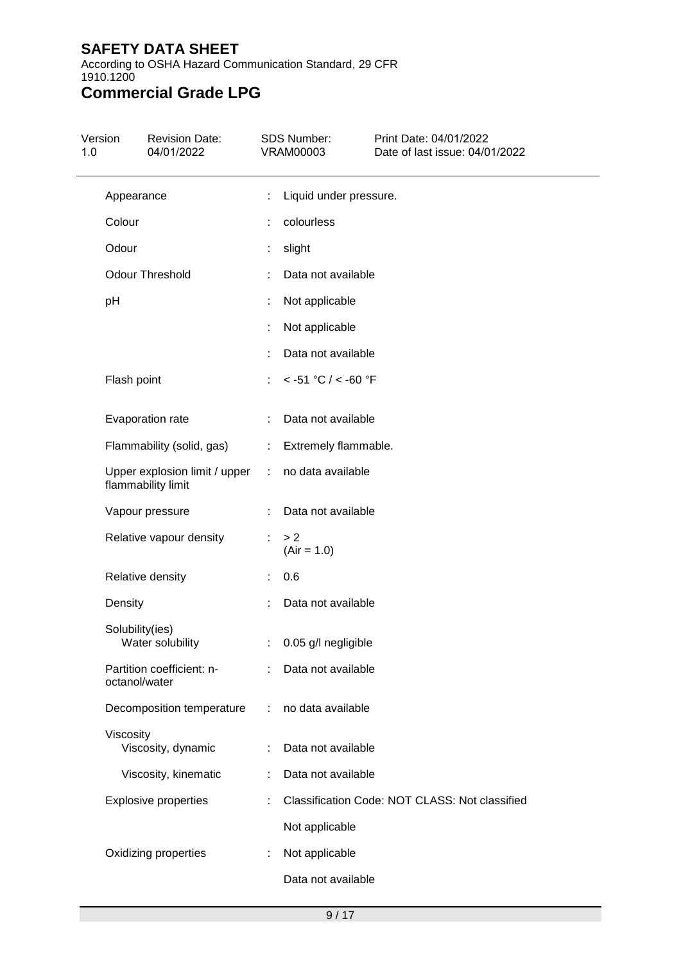According to OSHA Hazard Communication Standard, 29 CFR 1910.1200

# **Commercial Grade LPG**

| Version<br>1.0 | <b>Revision Date:</b><br>04/01/2022                 |                               | <b>SDS Number:</b><br><b>VRAM00003</b> | Print Date: 04/01/2022<br>Date of last issue: 04/01/2022 |
|----------------|-----------------------------------------------------|-------------------------------|----------------------------------------|----------------------------------------------------------|
|                | Appearance                                          | t                             | Liquid under pressure.                 |                                                          |
| Colour         |                                                     |                               | colourless                             |                                                          |
| Odour          |                                                     |                               | slight                                 |                                                          |
|                | Odour Threshold                                     |                               | Data not available                     |                                                          |
| pH             |                                                     | t.                            | Not applicable                         |                                                          |
|                |                                                     |                               | Not applicable                         |                                                          |
|                |                                                     |                               | Data not available                     |                                                          |
|                | Flash point                                         |                               | $< -51$ °C / $< -60$ °F                |                                                          |
|                | Evaporation rate                                    |                               | Data not available                     |                                                          |
|                | Flammability (solid, gas)                           | ÷.                            | Extremely flammable.                   |                                                          |
|                | Upper explosion limit / upper<br>flammability limit | $\mathcal{L}$                 | no data available                      |                                                          |
|                | Vapour pressure                                     |                               | Data not available                     |                                                          |
|                | Relative vapour density                             |                               | > 2<br>$(Air = 1.0)$                   |                                                          |
|                | Relative density                                    |                               | 0.6                                    |                                                          |
| Density        |                                                     |                               | Data not available                     |                                                          |
|                | Solubility(ies)<br>Water solubility                 |                               | : 0.05 g/l negligible                  |                                                          |
|                | Partition coefficient: n-<br>octanol/water          | ÷.                            | Data not available                     |                                                          |
|                | Decomposition temperature                           | $\mathcal{I}^{\mathcal{I}}$ . | no data available                      |                                                          |
|                | Viscosity<br>Viscosity, dynamic                     |                               | Data not available                     |                                                          |
|                | Viscosity, kinematic                                | t.                            | Data not available                     |                                                          |
|                | <b>Explosive properties</b>                         |                               |                                        | Classification Code: NOT CLASS: Not classified           |
|                |                                                     |                               | Not applicable                         |                                                          |
|                | Oxidizing properties                                |                               | Not applicable                         |                                                          |
|                |                                                     |                               | Data not available                     |                                                          |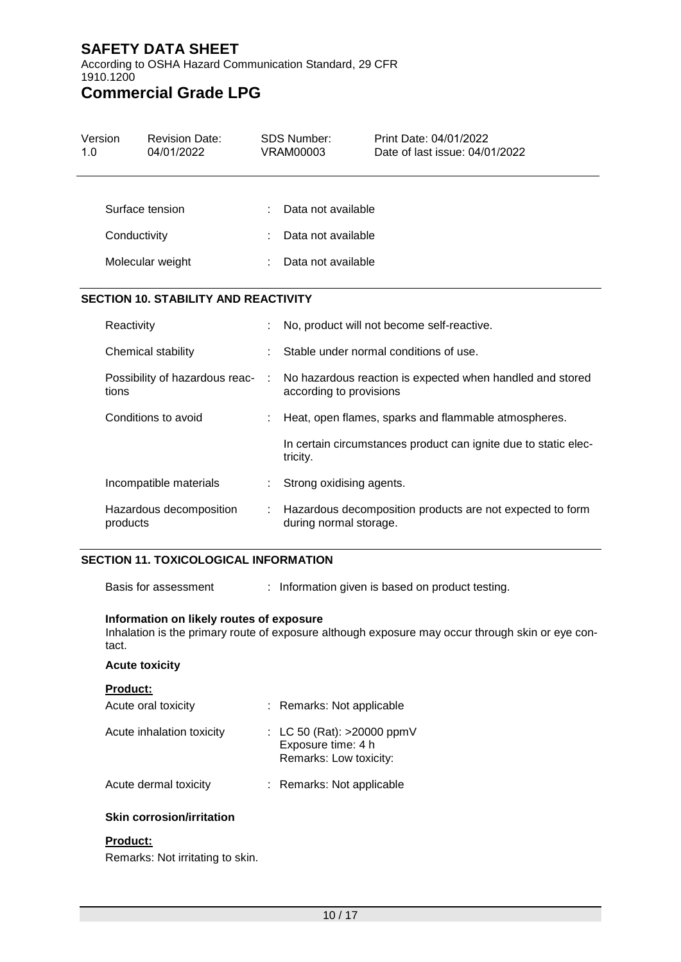According to OSHA Hazard Communication Standard, 29 CFR 1910.1200

## **Commercial Grade LPG**

| Version<br>1.0 |                                         | <b>Revision Date:</b><br>04/01/2022         |   | <b>SDS Number:</b><br><b>VRAM00003</b>                                              | Print Date: 04/01/2022<br>Date of last issue: 04/01/2022        |
|----------------|-----------------------------------------|---------------------------------------------|---|-------------------------------------------------------------------------------------|-----------------------------------------------------------------|
|                |                                         |                                             |   |                                                                                     |                                                                 |
|                |                                         | Surface tension                             |   | Data not available                                                                  |                                                                 |
|                | Conductivity                            |                                             |   | Data not available                                                                  |                                                                 |
|                |                                         | Molecular weight                            |   | Data not available                                                                  |                                                                 |
|                |                                         | <b>SECTION 10. STABILITY AND REACTIVITY</b> |   |                                                                                     |                                                                 |
|                | Reactivity                              |                                             |   |                                                                                     | No, product will not become self-reactive.                      |
|                | Chemical stability                      |                                             |   |                                                                                     | Stable under normal conditions of use.                          |
|                | Possibility of hazardous reac-<br>tions |                                             | ÷ | according to provisions                                                             | No hazardous reaction is expected when handled and stored       |
|                | Conditions to avoid                     |                                             |   |                                                                                     | Heat, open flames, sparks and flammable atmospheres.            |
|                |                                         |                                             |   | tricity.                                                                            | In certain circumstances product can ignite due to static elec- |
|                |                                         | Incompatible materials                      |   | Strong oxidising agents.                                                            |                                                                 |
|                | products                                | Hazardous decomposition                     |   | Hazardous decomposition products are not expected to form<br>during normal storage. |                                                                 |

#### **SECTION 11. TOXICOLOGICAL INFORMATION**

Basis for assessment : Information given is based on product testing.

#### **Information on likely routes of exposure**

Inhalation is the primary route of exposure although exposure may occur through skin or eye contact.

#### **Acute toxicity**

| <b>Product:</b>           |                                                                              |
|---------------------------|------------------------------------------------------------------------------|
| Acute oral toxicity       | : Remarks: Not applicable                                                    |
| Acute inhalation toxicity | : LC 50 (Rat): $>20000$ ppmV<br>Exposure time: 4 h<br>Remarks: Low toxicity: |
| Acute dermal toxicity     | : Remarks: Not applicable                                                    |
|                           |                                                                              |

#### **Skin corrosion/irritation**

#### **Product:**

Remarks: Not irritating to skin.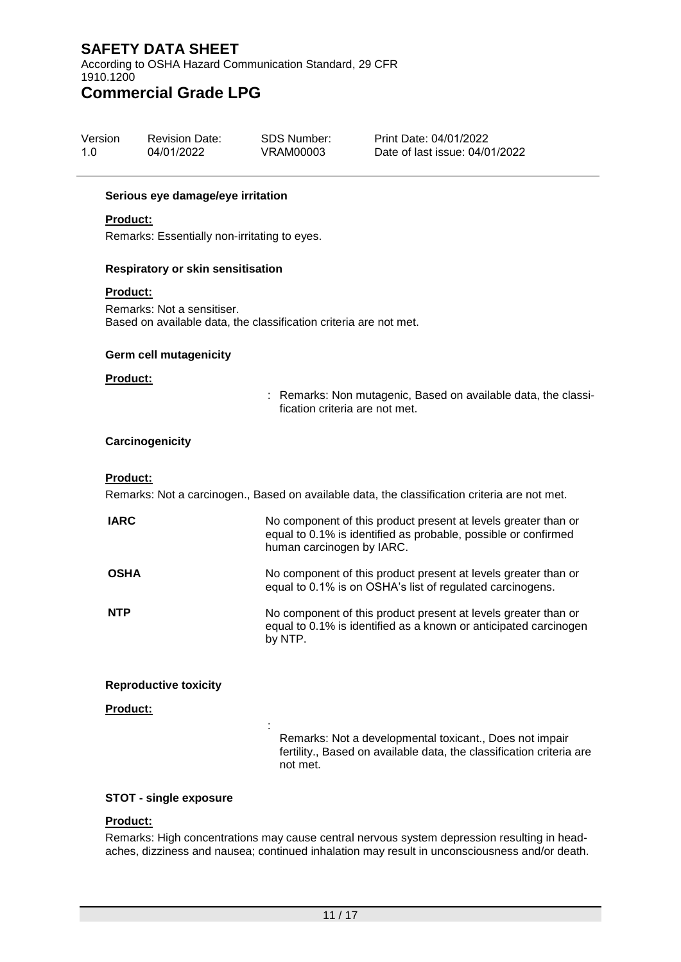According to OSHA Hazard Communication Standard, 29 CFR 1910.1200

### **Commercial Grade LPG**

| Version | <b>Revision Date:</b> | SDS Number: | Print Date: 04/01/2022         |
|---------|-----------------------|-------------|--------------------------------|
| 1.0     | 04/01/2022            | VRAM00003   | Date of last issue: 04/01/2022 |

#### **Serious eye damage/eye irritation**

#### **Product:**

Remarks: Essentially non-irritating to eyes.

#### **Respiratory or skin sensitisation**

#### **Product:**

Remarks: Not a sensitiser. Based on available data, the classification criteria are not met.

:

#### **Germ cell mutagenicity**

#### **Product:**

: Remarks: Non mutagenic, Based on available data, the classification criteria are not met.

#### **Carcinogenicity**

#### **Product:**

Remarks: Not a carcinogen., Based on available data, the classification criteria are not met.

| <b>IARC</b> | No component of this product present at levels greater than or<br>equal to 0.1% is identified as probable, possible or confirmed<br>human carcinogen by IARC. |
|-------------|---------------------------------------------------------------------------------------------------------------------------------------------------------------|
| <b>OSHA</b> | No component of this product present at levels greater than or<br>equal to 0.1% is on OSHA's list of regulated carcinogens.                                   |
| <b>NTP</b>  | No component of this product present at levels greater than or<br>equal to 0.1% is identified as a known or anticipated carcinogen<br>by NTP.                 |

#### **Reproductive toxicity**

**Product:**

Remarks: Not a developmental toxicant., Does not impair fertility., Based on available data, the classification criteria are not met.

#### **STOT - single exposure**

### **Product:**

Remarks: High concentrations may cause central nervous system depression resulting in headaches, dizziness and nausea; continued inhalation may result in unconsciousness and/or death.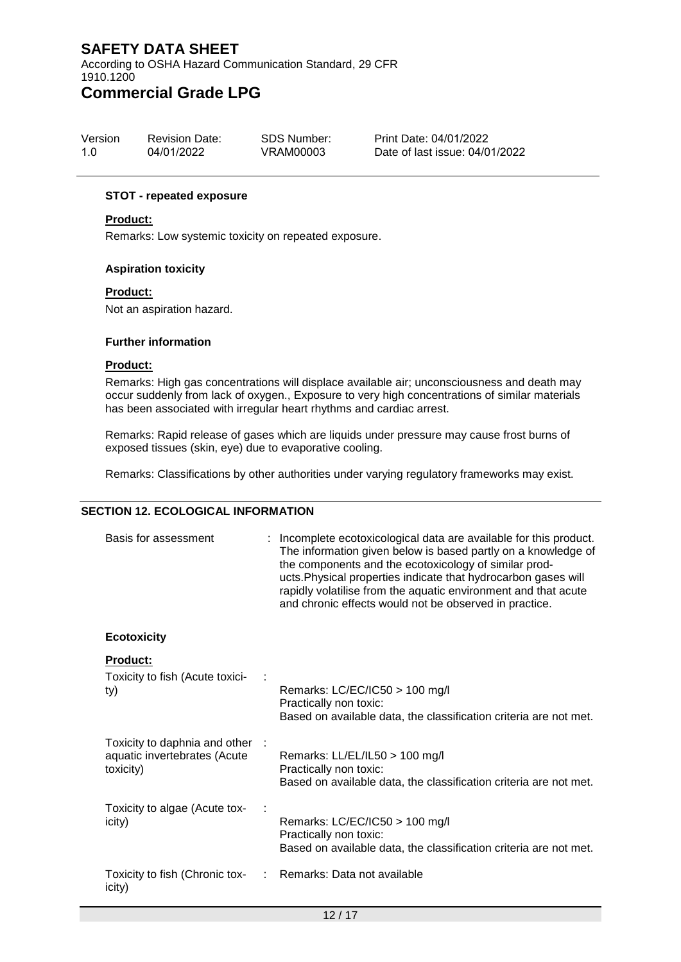According to OSHA Hazard Communication Standard, 29 CFR 1910.1200

### **Commercial Grade LPG**

| Version | <b>Revision Date:</b> | SDS Number: | Print Date: 04/01/2022         |
|---------|-----------------------|-------------|--------------------------------|
| 1.O     | 04/01/2022            | VRAM00003   | Date of last issue: 04/01/2022 |

#### **STOT - repeated exposure**

#### **Product:**

Remarks: Low systemic toxicity on repeated exposure.

#### **Aspiration toxicity**

#### **Product:**

Not an aspiration hazard.

#### **Further information**

#### **Product:**

Remarks: High gas concentrations will displace available air; unconsciousness and death may occur suddenly from lack of oxygen., Exposure to very high concentrations of similar materials has been associated with irregular heart rhythms and cardiac arrest.

Remarks: Rapid release of gases which are liquids under pressure may cause frost burns of exposed tissues (skin, eye) due to evaporative cooling.

Remarks: Classifications by other authorities under varying regulatory frameworks may exist.

#### **SECTION 12. ECOLOGICAL INFORMATION**

| Basis for assessment                                                       | : Incomplete ecotoxicological data are available for this product.<br>The information given below is based partly on a knowledge of<br>the components and the ecotoxicology of similar prod-<br>ucts. Physical properties indicate that hydrocarbon gases will<br>rapidly volatilise from the aquatic environment and that acute<br>and chronic effects would not be observed in practice. |
|----------------------------------------------------------------------------|--------------------------------------------------------------------------------------------------------------------------------------------------------------------------------------------------------------------------------------------------------------------------------------------------------------------------------------------------------------------------------------------|
| <b>Ecotoxicity</b>                                                         |                                                                                                                                                                                                                                                                                                                                                                                            |
| <b>Product:</b><br>Toxicity to fish (Acute toxici-<br>ty)                  | Remarks: $LC/EC/IC50 > 100$ mg/l<br>Practically non toxic:<br>Based on available data, the classification criteria are not met.                                                                                                                                                                                                                                                            |
| Toxicity to daphnia and other<br>aquatic invertebrates (Acute<br>toxicity) | Remarks: LL/EL/IL50 > 100 mg/l<br>Practically non toxic:<br>Based on available data, the classification criteria are not met.                                                                                                                                                                                                                                                              |
| Toxicity to algae (Acute tox-<br>icity)                                    | Remarks: $LC/EC/IC50 > 100$ mg/l<br>Practically non toxic:<br>Based on available data, the classification criteria are not met.                                                                                                                                                                                                                                                            |
| Toxicity to fish (Chronic tox-<br>icity)                                   | Remarks: Data not available                                                                                                                                                                                                                                                                                                                                                                |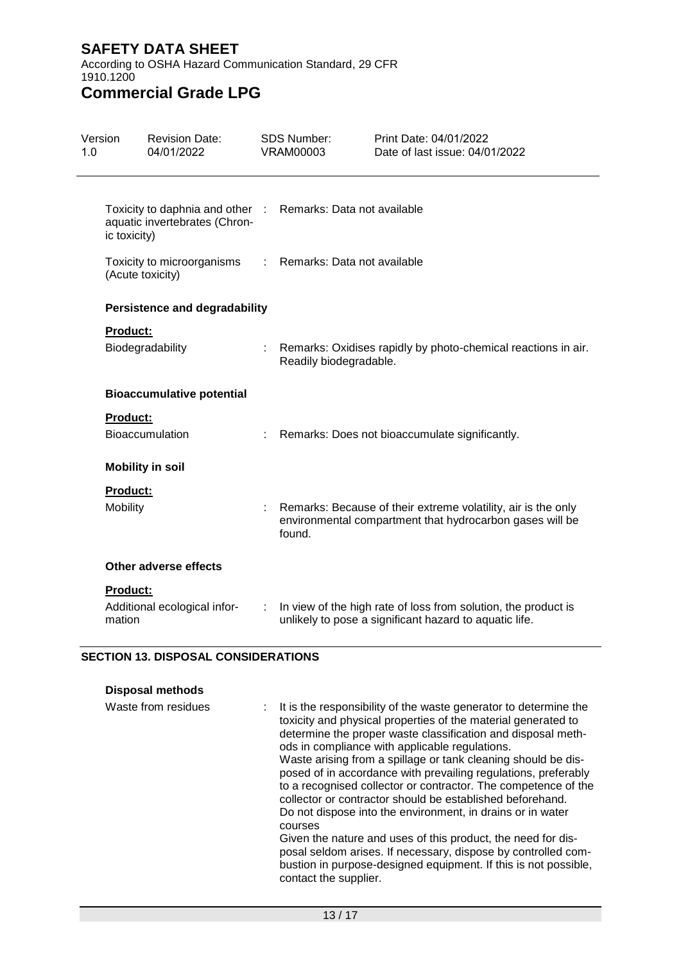According to OSHA Hazard Communication Standard, 29 CFR 1910.1200

### **Commercial Grade LPG**

| Version<br>1.0 |                                                                                 | <b>Revision Date:</b><br>04/01/2022                                                          |   | <b>SDS Number:</b><br><b>VRAM00003</b> | Print Date: 04/01/2022<br>Date of last issue: 04/01/2022                                                                  |
|----------------|---------------------------------------------------------------------------------|----------------------------------------------------------------------------------------------|---|----------------------------------------|---------------------------------------------------------------------------------------------------------------------------|
|                | ic toxicity)                                                                    | Toxicity to daphnia and other : Remarks: Data not available<br>aquatic invertebrates (Chron- |   |                                        |                                                                                                                           |
|                | : Remarks: Data not available<br>Toxicity to microorganisms<br>(Acute toxicity) |                                                                                              |   |                                        |                                                                                                                           |
|                |                                                                                 | <b>Persistence and degradability</b>                                                         |   |                                        |                                                                                                                           |
|                | <b>Product:</b>                                                                 | Biodegradability                                                                             |   | Readily biodegradable.                 | Remarks: Oxidises rapidly by photo-chemical reactions in air.                                                             |
|                |                                                                                 | <b>Bioaccumulative potential</b>                                                             |   |                                        |                                                                                                                           |
|                | <b>Product:</b>                                                                 | <b>Bioaccumulation</b>                                                                       | ÷ |                                        | Remarks: Does not bioaccumulate significantly.                                                                            |
|                |                                                                                 | <b>Mobility in soil</b>                                                                      |   |                                        |                                                                                                                           |
|                | Product:<br>Mobility                                                            |                                                                                              |   | found.                                 | Remarks: Because of their extreme volatility, air is the only<br>environmental compartment that hydrocarbon gases will be |
|                |                                                                                 | Other adverse effects                                                                        |   |                                        |                                                                                                                           |
|                | <b>Product:</b><br>mation                                                       | Additional ecological infor-                                                                 | ÷ |                                        | In view of the high rate of loss from solution, the product is<br>unlikely to pose a significant hazard to aquatic life.  |

#### **SECTION 13. DISPOSAL CONSIDERATIONS**

| Disposal methods    |  |       |  |  |
|---------------------|--|-------|--|--|
| Waste from residues |  | : Iti |  |  |
|                     |  | to:   |  |  |
|                     |  | d٥    |  |  |

is the responsibility of the waste generator to determine the xicity and physical properties of the material generated to determine the proper waste classification and disposal methods in compliance with applicable regulations. Waste arising from a spillage or tank cleaning should be disposed of in accordance with prevailing regulations, preferably to a recognised collector or contractor. The competence of the collector or contractor should be established beforehand. Do not dispose into the environment, in drains or in water courses Given the nature and uses of this product, the need for disposal seldom arises. If necessary, dispose by controlled combustion in purpose-designed equipment. If this is not possible,

contact the supplier.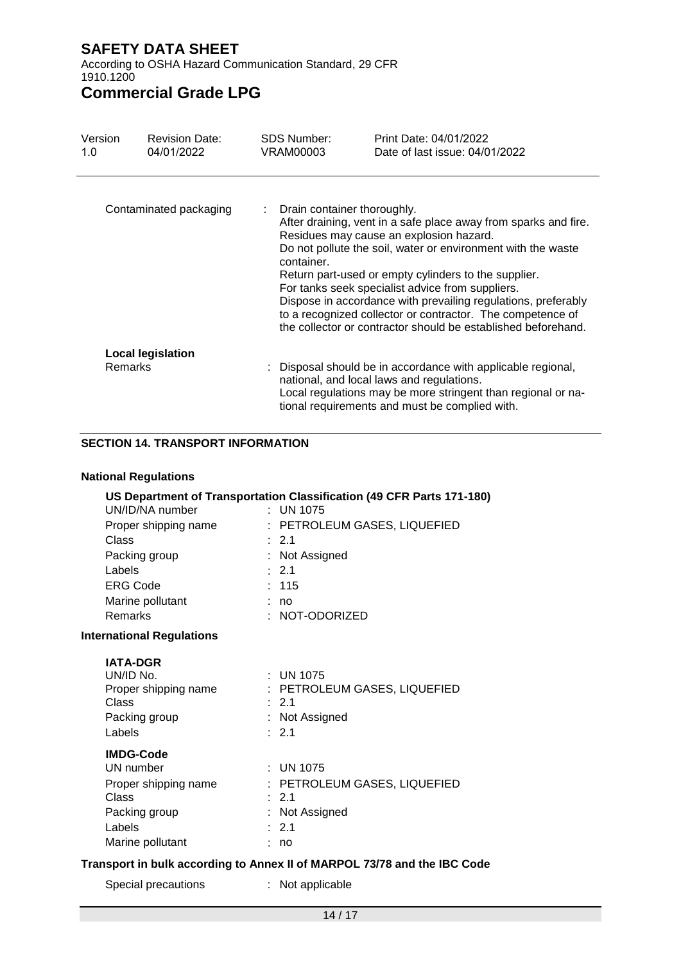According to OSHA Hazard Communication Standard, 29 CFR 1910.1200

# **Commercial Grade LPG**

| Version<br>1.0 | <b>Revision Date:</b><br>04/01/2022 | SDS Number:<br>VRAM00003                  | Print Date: 04/01/2022<br>Date of last issue: 04/01/2022                                                                                                                                                                                                                                                                                                                                                                                                                               |
|----------------|-------------------------------------|-------------------------------------------|----------------------------------------------------------------------------------------------------------------------------------------------------------------------------------------------------------------------------------------------------------------------------------------------------------------------------------------------------------------------------------------------------------------------------------------------------------------------------------------|
|                | Contaminated packaging              | Drain container thoroughly.<br>container. | After draining, vent in a safe place away from sparks and fire.<br>Residues may cause an explosion hazard.<br>Do not pollute the soil, water or environment with the waste<br>Return part-used or empty cylinders to the supplier.<br>For tanks seek specialist advice from suppliers.<br>Dispose in accordance with prevailing regulations, preferably<br>to a recognized collector or contractor. The competence of<br>the collector or contractor should be established beforehand. |
| <b>Remarks</b> | <b>Local legislation</b>            |                                           | : Disposal should be in accordance with applicable regional,<br>national, and local laws and regulations.<br>Local regulations may be more stringent than regional or na-<br>tional requirements and must be complied with.                                                                                                                                                                                                                                                            |

#### **SECTION 14. TRANSPORT INFORMATION**

#### **National Regulations**

| UN/ID/NA number                                                                                               | US Department of Transportation Classification (49 CFR Parts 171-180)<br>$\cdot$ UN 1075                  |
|---------------------------------------------------------------------------------------------------------------|-----------------------------------------------------------------------------------------------------------|
| Proper shipping name                                                                                          | : PETROLEUM GASES, LIQUEFIED                                                                              |
| Class                                                                                                         | $\div$ 2.1                                                                                                |
| Packing group                                                                                                 | : Not Assigned                                                                                            |
| Labels                                                                                                        | $\cdot$ 2.1                                                                                               |
| <b>ERG Code</b>                                                                                               | : 115                                                                                                     |
| Marine pollutant                                                                                              | : no                                                                                                      |
| <b>Remarks</b>                                                                                                | $: NOT-ODORIZED$                                                                                          |
| <b>International Regulations</b>                                                                              |                                                                                                           |
| <b>IATA-DGR</b><br>UN/ID No.<br>Proper shipping name<br>Class<br>Packing group<br>Labels                      | $\therefore$ UN 1075<br>: PETROLEUM GASES, LIQUEFIED<br>$\therefore$ 2.1<br>: Not Assigned<br>$\cdot$ 2.1 |
| <b>IMDG-Code</b><br>UN number<br>Proper shipping name<br>Class<br>Packing group<br>Labels<br>Marine pollutant | $:$ UN 1075<br>: PETROLEUM GASES, LIQUEFIED<br>$\cdot$ 2.1<br>: Not Assigned<br>$\therefore$ 2.1<br>no    |

#### **Transport in bulk according to Annex II of MARPOL 73/78 and the IBC Code**

Special precautions : Not applicable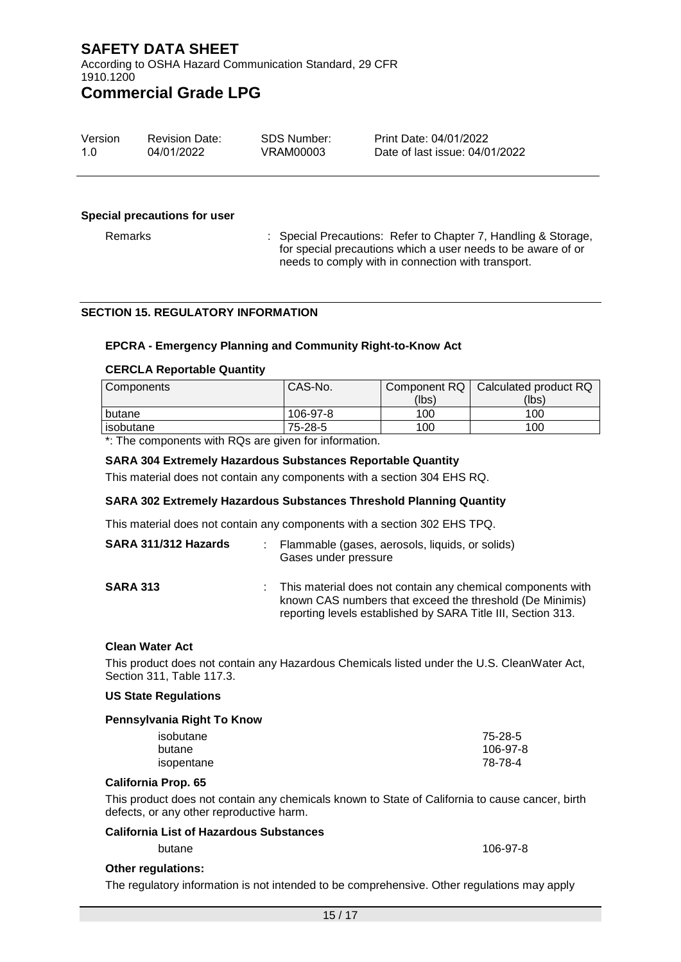According to OSHA Hazard Communication Standard, 29 CFR 1910.1200

### **Commercial Grade LPG**

| Version | <b>Revision Date:</b> | SDS Number: | Print Date: 04/01/2022         |
|---------|-----------------------|-------------|--------------------------------|
| 1 O     | 04/01/2022            | VRAM00003   | Date of last issue: 04/01/2022 |

#### **Special precautions for user**

Remarks : Special Precautions: Refer to Chapter 7, Handling & Storage, for special precautions which a user needs to be aware of or needs to comply with in connection with transport.

#### **SECTION 15. REGULATORY INFORMATION**

#### **EPCRA - Emergency Planning and Community Right-to-Know Act**

#### **CERCLA Reportable Quantity**

| Components | CAS-No.  | Component RQ | Calculated product RQ |
|------------|----------|--------------|-----------------------|
|            |          | (lbs)        | (lbs)                 |
| butane     | 106-97-8 | 100          | 100                   |
| isobutane  | 75-28-5  | 100          | 100                   |

\*: The components with RQs are given for information.

#### **SARA 304 Extremely Hazardous Substances Reportable Quantity**

This material does not contain any components with a section 304 EHS RQ.

#### **SARA 302 Extremely Hazardous Substances Threshold Planning Quantity**

This material does not contain any components with a section 302 EHS TPQ.

| SARA 311/312 Hazards |    | : Flammable (gases, aerosols, liquids, or solids)<br>Gases under pressure                                                                                                               |
|----------------------|----|-----------------------------------------------------------------------------------------------------------------------------------------------------------------------------------------|
| <b>SARA 313</b>      | ÷. | This material does not contain any chemical components with<br>known CAS numbers that exceed the threshold (De Minimis)<br>reporting levels established by SARA Title III, Section 313. |

#### **Clean Water Act**

This product does not contain any Hazardous Chemicals listed under the U.S. CleanWater Act, Section 311, Table 117.3.

#### **US State Regulations**

### **Pennsylvania Right To Know**

| isobutane  | 75-28-5  |
|------------|----------|
| butane     | 106-97-8 |
| isopentane | 78-78-4  |

#### **California Prop. 65**

This product does not contain any chemicals known to State of California to cause cancer, birth defects, or any other reproductive harm.

#### **California List of Hazardous Substances**

butane 106-97-8

#### **Other regulations:**

The regulatory information is not intended to be comprehensive. Other regulations may apply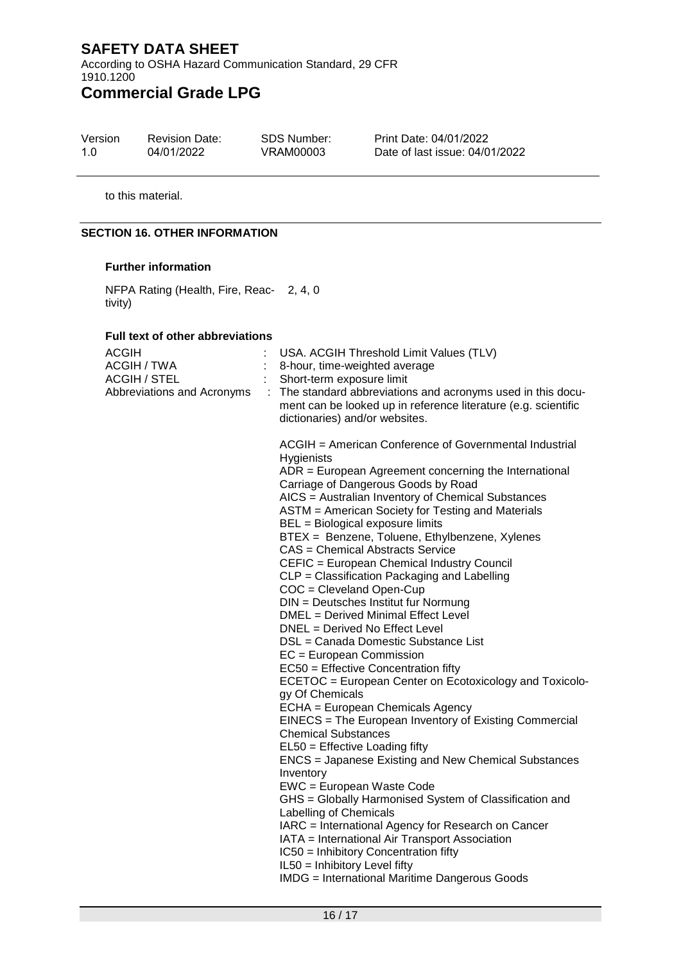According to OSHA Hazard Communication Standard, 29 CFR 1910.1200

# **Commercial Grade LPG**

| Version | <b>Revision Date:</b> | SDS Number: |  |
|---------|-----------------------|-------------|--|
| 1.0     | 04/01/2022            | VRAM00003   |  |

Print Date: 04/01/2022 Date of last issue: 04/01/2022

to this material.

#### **SECTION 16. OTHER INFORMATION**

#### **Further information**

NFPA Rating (Health, Fire, Reac-2, 4, 0 tivity)

#### **Full text of other abbreviations**

| <b>ACGIH</b><br>ACGIH / TWA<br><b>ACGIH / STEL</b><br>Abbreviations and Acronyms | USA. ACGIH Threshold Limit Values (TLV)<br>8-hour, time-weighted average<br>Short-term exposure limit<br>The standard abbreviations and acronyms used in this docu-<br>ment can be looked up in reference literature (e.g. scientific<br>dictionaries) and/or websites.                                                                                                                                                                                                                                                                                                                                                                                                                                                                                                                                                                                                                                                                                                                                                                                                                                                                                                                                                                                                                                                                                                                                                                               |
|----------------------------------------------------------------------------------|-------------------------------------------------------------------------------------------------------------------------------------------------------------------------------------------------------------------------------------------------------------------------------------------------------------------------------------------------------------------------------------------------------------------------------------------------------------------------------------------------------------------------------------------------------------------------------------------------------------------------------------------------------------------------------------------------------------------------------------------------------------------------------------------------------------------------------------------------------------------------------------------------------------------------------------------------------------------------------------------------------------------------------------------------------------------------------------------------------------------------------------------------------------------------------------------------------------------------------------------------------------------------------------------------------------------------------------------------------------------------------------------------------------------------------------------------------|
|                                                                                  | ACGIH = American Conference of Governmental Industrial<br>Hygienists<br>$ADR = European Agreement concerning the International$<br>Carriage of Dangerous Goods by Road<br>AICS = Australian Inventory of Chemical Substances<br>ASTM = American Society for Testing and Materials<br>BEL = Biological exposure limits<br>BTEX = Benzene, Toluene, Ethylbenzene, Xylenes<br>CAS = Chemical Abstracts Service<br>CEFIC = European Chemical Industry Council<br>CLP = Classification Packaging and Labelling<br>COC = Cleveland Open-Cup<br>DIN = Deutsches Institut fur Normung<br>DMEL = Derived Minimal Effect Level<br>DNEL = Derived No Effect Level<br>DSL = Canada Domestic Substance List<br>EC = European Commission<br>EC50 = Effective Concentration fifty<br>ECETOC = European Center on Ecotoxicology and Toxicolo-<br>gy Of Chemicals<br>ECHA = European Chemicals Agency<br>EINECS = The European Inventory of Existing Commercial<br><b>Chemical Substances</b><br>EL50 = Effective Loading fifty<br><b>ENCS</b> = Japanese Existing and New Chemical Substances<br>Inventory<br>EWC = European Waste Code<br>GHS = Globally Harmonised System of Classification and<br>Labelling of Chemicals<br>IARC = International Agency for Research on Cancer<br>IATA = International Air Transport Association<br>IC50 = Inhibitory Concentration fifty<br>IL50 = Inhibitory Level fifty<br><b>IMDG</b> = International Maritime Dangerous Goods |